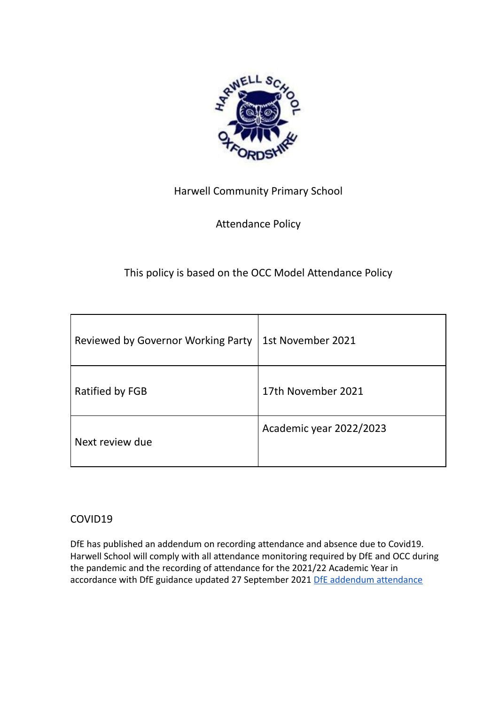

## Harwell Community Primary School

## Attendance Policy

# This policy is based on the OCC Model Attendance Policy

| Reviewed by Governor Working Party | 1st November 2021       |
|------------------------------------|-------------------------|
| Ratified by FGB                    | 17th November 2021      |
| Next review due                    | Academic year 2022/2023 |

## COVID19

DfE has published an addendum on recording attendance and absence due to Covid19. Harwell School will comply with all attendance monitoring required by DfE and OCC during the pandemic and the recording of attendance for the 2021/22 Academic Year in accordance with DfE guidance updated 27 September 2021 [DfE addendum attendance](https://www.gov.uk/government/publications/school-attendance/addendum-recording-attendance-in-relation-to-coronavirus-covid-19-during-the-2021-to-2022-academic-year)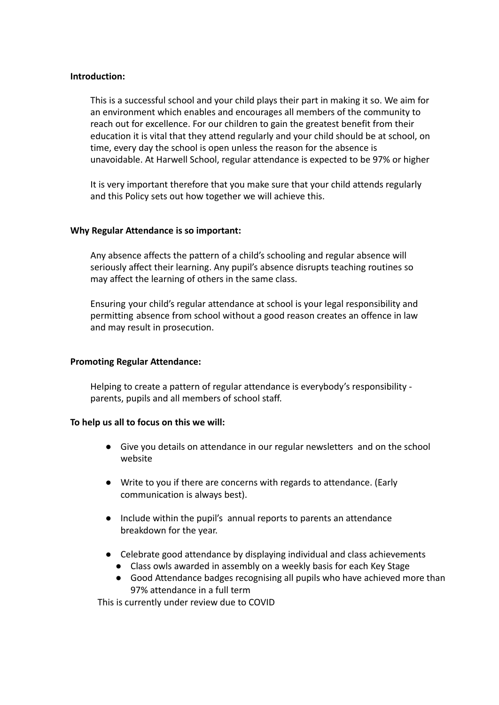### **Introduction:**

This is a successful school and your child plays their part in making it so. We aim for an environment which enables and encourages all members of the community to reach out for excellence. For our children to gain the greatest benefit from their education it is vital that they attend regularly and your child should be at school, on time, every day the school is open unless the reason for the absence is unavoidable. At Harwell School, regular attendance is expected to be 97% or higher

It is very important therefore that you make sure that your child attends regularly and this Policy sets out how together we will achieve this.

### **Why Regular Attendance is so important:**

Any absence affects the pattern of a child's schooling and regular absence will seriously affect their learning. Any pupil's absence disrupts teaching routines so may affect the learning of others in the same class.

Ensuring your child's regular attendance at school is your legal responsibility and permitting absence from school without a good reason creates an offence in law and may result in prosecution.

## **Promoting Regular Attendance:**

Helping to create a pattern of regular attendance is everybody's responsibility parents, pupils and all members of school staff.

## **To help us all to focus on this we will:**

- Give you details on attendance in our regular newsletters and on the school website
- Write to you if there are concerns with regards to attendance. (Early communication is always best).
- Include within the pupil's annual reports to parents an attendance breakdown for the year.
- Celebrate good attendance by displaying individual and class achievements
	- Class owls awarded in assembly on a weekly basis for each Key Stage
	- Good Attendance badges recognising all pupils who have achieved more than 97% attendance in a full term

This is currently under review due to COVID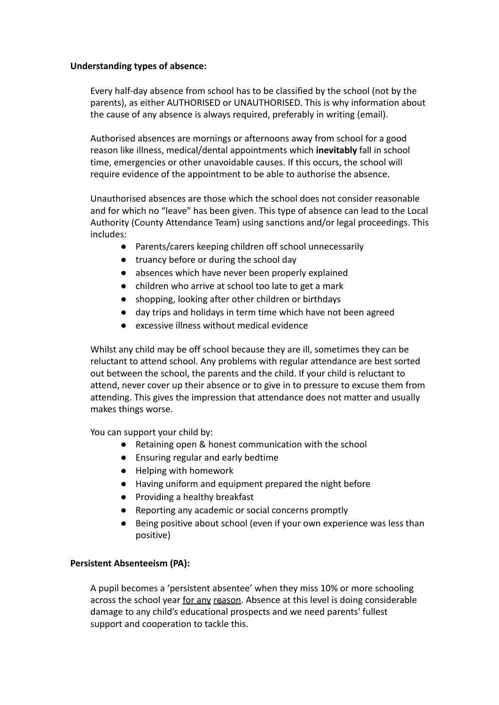### **Understanding types of absence:**

Every half-day absence from school has to be classified by the school (not by the parents), as either AUTHORISED or UNAUTHORISED. This is why information about the cause of any absence is always required, preferably in writing (email).

Authorised absences are mornings or afternoons away from school for a good reason like illness, medical/dental appointments which **inevitably** fall in school time, emergencies or other unavoidable causes. If this occurs, the school will require evidence of the appointment to be able to authorise the absence.

Unauthorised absences are those which the school does not consider reasonable and for which no "leave" has been given. This type of absence can lead to the Local Authority (County Attendance Team) using sanctions and/or legal proceedings. This includes:

- Parents/carers keeping children off school unnecessarily
- truancy before or during the school day
- absences which have never been properly explained
- children who arrive at school too late to get a mark
- shopping, looking after other children or birthdays
- day trips and holidays in term time which have not been agreed
- excessive illness without medical evidence

Whilst any child may be off school because they are ill, sometimes they can be reluctant to attend school. Any problems with regular attendance are best sorted out between the school, the parents and the child. If your child is reluctant to attend, never cover up their absence or to give in to pressure to excuse them from attending. This gives the impression that attendance does not matter and usually makes things worse.

You can support your child by:

- Retaining open & honest communication with the school
- Ensuring regular and early bedtime
- Helping with homework
- Having uniform and equipment prepared the night before
- Providing a healthy breakfast
- Reporting any academic or social concerns promptly
- Being positive about school (even if your own experience was less than positive)

#### **Persistent Absenteeism (PA):**

A pupil becomes a 'persistent absentee' when they miss 10% or more schooling across the school year for any reason. Absence at this level is doing considerable damage to any child's educational prospects and we need parents' fullest support and cooperation to tackle this.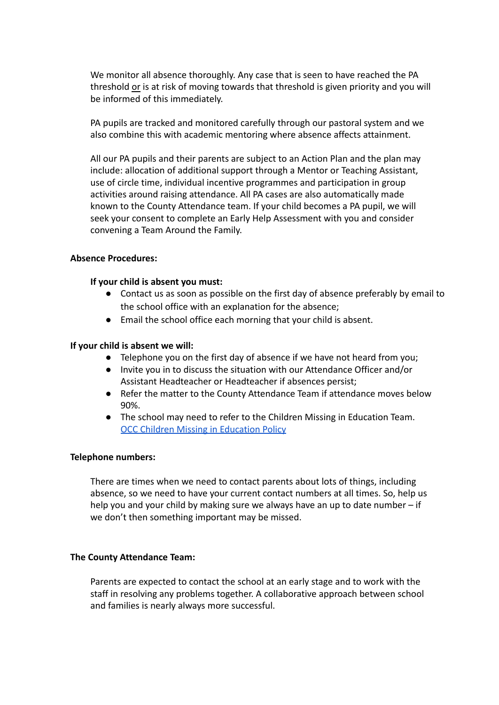We monitor all absence thoroughly. Any case that is seen to have reached the PA threshold or is at risk of moving towards that threshold is given priority and you will be informed of this immediately.

PA pupils are tracked and monitored carefully through our pastoral system and we also combine this with academic mentoring where absence affects attainment.

All our PA pupils and their parents are subject to an Action Plan and the plan may include: allocation of additional support through a Mentor or Teaching Assistant, use of circle time, individual incentive programmes and participation in group activities around raising attendance. All PA cases are also automatically made known to the County Attendance team. If your child becomes a PA pupil, we will seek your consent to complete an Early Help Assessment with you and consider convening a Team Around the Family.

#### **Absence Procedures:**

#### **If your child is absent you must:**

- Contact us as soon as possible on the first day of absence preferably by email to the school office with an explanation for the absence;
- Email the school office each morning that your child is absent.

#### **If your child is absent we will:**

- Telephone you on the first day of absence if we have not heard from you;
- Invite you in to discuss the situation with our Attendance Officer and/or Assistant Headteacher or Headteacher if absences persist;
- Refer the matter to the County Attendance Team if attendance moves below 90%.
- The school may need to refer to the Children Missing in Education Team. **[OCC Children Missing in Education Policy](https://schools.oxfordshire.gov.uk/cms/sites/schools/files/folders/folders/documents/safeguarding/ChildrenMissingEducationPolicy.pdf)**

#### **Telephone numbers:**

There are times when we need to contact parents about lots of things, including absence, so we need to have your current contact numbers at all times. So, help us help you and your child by making sure we always have an up to date number – if we don't then something important may be missed.

## **The County Attendance Team:**

Parents are expected to contact the school at an early stage and to work with the staff in resolving any problems together. A collaborative approach between school and families is nearly always more successful.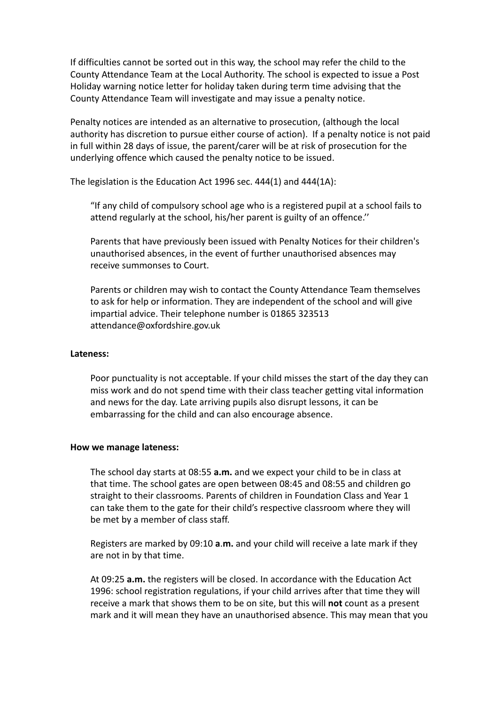If difficulties cannot be sorted out in this way, the school may refer the child to the County Attendance Team at the Local Authority. The school is expected to issue a Post Holiday warning notice letter for holiday taken during term time advising that the County Attendance Team will investigate and may issue a penalty notice.

Penalty notices are intended as an alternative to prosecution, (although the local authority has discretion to pursue either course of action). If a penalty notice is not paid in full within 28 days of issue, the parent/carer will be at risk of prosecution for the underlying offence which caused the penalty notice to be issued.

The legislation is the Education Act 1996 sec. 444(1) and 444(1A):

"If any child of compulsory school age who is a registered pupil at a school fails to attend regularly at the school, his/her parent is guilty of an offence.''

Parents that have previously been issued with Penalty Notices for their children's unauthorised absences, in the event of further unauthorised absences may receive summonses to Court.

Parents or children may wish to contact the County Attendance Team themselves to ask for help or information. They are independent of th[e](mailto:attendance@oxfordshire.gov.uk) school and will give impartial advice. Their telephone number is 01865 323513 [attendance@oxfordshire.gov.uk](mailto:attendance@oxfordshire.gov.uk)

#### **Lateness:**

Poor punctuality is not acceptable. If your child misses the start of the day they can miss work and do not spend time with their class teacher getting vital information and news for the day. Late arriving pupils also disrupt lessons, it can be embarrassing for the child and can also encourage absence.

#### **How we manage lateness:**

The school day starts at 08:55 **a.m.** and we expect your child to be in class at that time. The school gates are open between 08:45 and 08:55 and children go straight to their classrooms. Parents of children in Foundation Class and Year 1 can take them to the gate for their child's respective classroom where they will be met by a member of class staff.

Registers are marked by 09:10 **a**.**m.** and your child will receive a late mark if they are not in by that time.

At 09:25 **a.m.** the registers will be closed. In accordance with the Education Act 1996: school registration regulations, if your child arrives after that time they will receive a mark that shows them to be on site, but this will **not** count as a present mark and it will mean they have an unauthorised absence. This may mean that you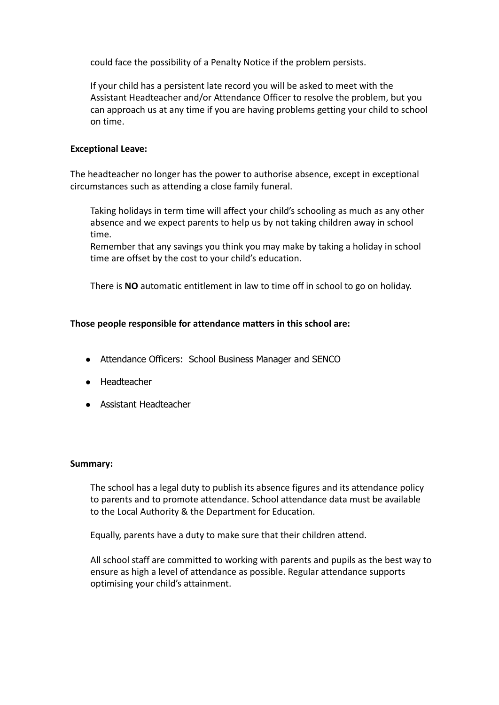could face the possibility of a Penalty Notice if the problem persists.

If your child has a persistent late record you will be asked to meet with the Assistant Headteacher and/or Attendance Officer to resolve the problem, but you can approach us at any time if you are having problems getting your child to school on time.

## **Exceptional Leave:**

The headteacher no longer has the power to authorise absence, except in exceptional circumstances such as attending a close family funeral.

Taking holidays in term time will affect your child's schooling as much as any other absence and we expect parents to help us by not taking children away in school time.

Remember that any savings you think you may make by taking a holiday in school time are offset by the cost to your child's education.

There is **NO** automatic entitlement in law to time off in school to go on holiday.

## **Those people responsible for attendance matters in this school are:**

- Attendance Officers: School Business Manager and SENCO
- Headteacher
- Assistant Headteacher

#### **Summary:**

The school has a legal duty to publish its absence figures and its attendance policy to parents and to promote attendance. School attendance data must be available to the Local Authority & the Department for Education.

Equally, parents have a duty to make sure that their children attend.

All school staff are committed to working with parents and pupils as the best way to ensure as high a level of attendance as possible. Regular attendance supports optimising your child's attainment.